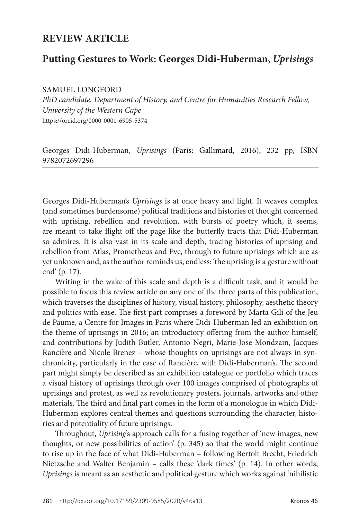# **REVIEW ARTICLE**

# **Putting Gestures to Work: Georges Didi-Huberman,** *Uprisings*

SAMUEL LONGFORD

*PhD candidate, Department of History, and Centre for Humanities Research Fellow, University of the Western Cape*  https://orcid.org/0000-0001-6905-5374

Georges Didi-Huberman, *Uprisings* (Paris: Gallimard, 2016), 232 pp, ISBN 9782072697296

Georges Didi-Huberman's *Uprisings* is at once heavy and light. It weaves complex (and sometimes burdensome) political traditions and histories of thought concerned with uprising, rebellion and revolution, with bursts of poetry which, it seems, are meant to take flight off the page like the butterfly tracts that Didi-Huberman so admires. It is also vast in its scale and depth, tracing histories of uprising and rebellion from Atlas, Prometheus and Eve, through to future uprisings which are as yet unknown and, as the author reminds us, endless: 'the uprising is a gesture without end' (p. 17).

Writing in the wake of this scale and depth is a difficult task, and it would be possible to focus this review article on any one of the three parts of this publication, which traverses the disciplines of history, visual history, philosophy, aesthetic theory and politics with ease. The first part comprises a foreword by Marta Gili of the Jeu de Paume, a Centre for Images in Paris where Didi-Huberman led an exhibition on the theme of uprisings in 2016; an introductory offering from the author himself; and contributions by Judith Butler, Antonio Negri, Marie-Jose Mondzain, Jacques Rancière and Nicole Brenez – whose thoughts on uprisings are not always in synchronicity, particularly in the case of Rancière, with Didi-Huberman's. The second part might simply be described as an exhibition catalogue or portfolio which traces a visual history of uprisings through over 100 images comprised of photographs of uprisings and protest, as well as revolutionary posters, journals, artworks and other materials. The third and final part comes in the form of a monologue in which Didi-Huberman explores central themes and questions surrounding the character, histories and potentiality of future uprisings.

Throughout, *Uprising*'s approach calls for a fusing together of 'new images, new thoughts, or new possibilities of action' (p. 345) so that the world might continue to rise up in the face of what Didi-Huberman – following Bertolt Brecht, Friedrich Nietzsche and Walter Benjamin – calls these 'dark times' (p. 14). In other words, *Uprisings* is meant as an aesthetic and political gesture which works against 'nihilistic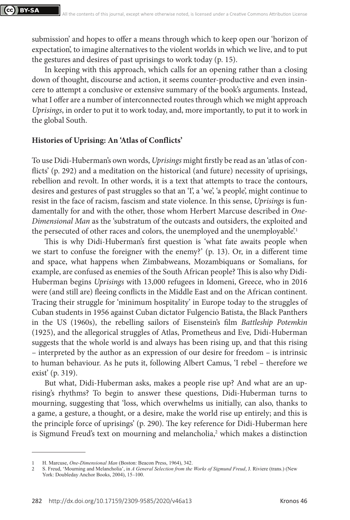submission' and hopes to offer a means through which to keep open our 'horizon of expectation', to imagine alternatives to the violent worlds in which we live, and to put the gestures and desires of past uprisings to work today (p. 15).

In keeping with this approach, which calls for an opening rather than a closing down of thought, discourse and action, it seems counter-productive and even insincere to attempt a conclusive or extensive summary of the book's arguments. Instead, what I offer are a number of interconnected routes through which we might approach *Uprisings*, in order to put it to work today, and, more importantly, to put it to work in the global South.

#### **Histories of Uprising: An 'Atlas of Conflicts'**

To use Didi-Huberman's own words, *Uprisings* might firstly be read as an 'atlas of conflicts' (p. 292) and a meditation on the historical (and future) necessity of uprisings, rebellion and revolt. In other words, it is a text that attempts to trace the contours, desires and gestures of past struggles so that an 'I', a 'we', 'a people', might continue to resist in the face of racism, fascism and state violence. In this sense, *Uprisings* is fundamentally for and with the other, those whom Herbert Marcuse described in *One-Dimensional Man* as the 'substratum of the outcasts and outsiders, the exploited and the persecuted of other races and colors, the unemployed and the unemployable.<sup>1</sup>

This is why Didi-Huberman's first question is 'what fate awaits people when we start to confuse the foreigner with the enemy?' (p. 13). Or, in a different time and space, what happens when Zimbabweans, Mozambiquans or Somalians, for example, are confused as enemies of the South African people? This is also why Didi-Huberman begins *Uprisings* with 13,000 refugees in Idomeni, Greece, who in 2016 were (and still are) fleeing conflicts in the Middle East and on the African continent. Tracing their struggle for 'minimum hospitality' in Europe today to the struggles of Cuban students in 1956 against Cuban dictator Fulgencio Batista, the Black Panthers in the US (1960s), the rebelling sailors of Eisenstein's film *Battleship Potemkin*  (1925), and the allegorical struggles of Atlas, Prometheus and Eve*,* Didi-Huberman suggests that the whole world is and always has been rising up, and that this rising – interpreted by the author as an expression of our desire for freedom – is intrinsic to human behaviour. As he puts it, following Albert Camus, 'I rebel – therefore we exist' (p. 319).

But what, Didi-Huberman asks, makes a people rise up? And what are an uprising's rhythms? To begin to answer these questions, Didi-Huberman turns to mourning, suggesting that 'loss, which overwhelms us initially, can also, thanks to a game, a gesture, a thought, or a desire, make the world rise up entirely; and this is the principle force of uprisings' (p. 290). The key reference for Didi-Huberman here is Sigmund Freud's text on mourning and melancholia,<sup>2</sup> which makes a distinction

<sup>1</sup> H. Marcuse, *One-Dimensional Man* (Boston: Beacon Press, 1964), 342.

<sup>2</sup> S. Freud, 'Mourning and Melancholia', in *A General Selection from the Works of Sigmund Freud*, J. Riviere (trans.) (New York: Doubleday Anchor Books, 2004), 15–100.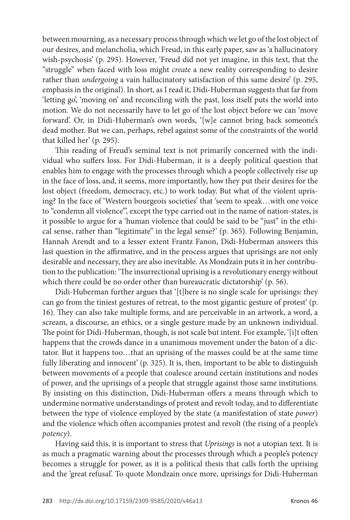between mourning, as a necessary process through which we let go of the lost object of our desires, and melancholia, which Freud, in this early paper, saw as 'a hallucinatory wish-psychosis' (p. 295). However, 'Freud did not yet imagine, in this text, that the "struggle" when faced with loss might *create* a new reality corresponding to desire rather than *undergoing* a vain hallucinatory satisfaction of this same desire' (p. 295, emphasis in the original). In short, as I read it, Didi-Huberman suggests that far from 'letting go', 'moving on' and reconciling with the past, loss itself puts the world into motion. We do not necessarily have to let go of the lost object before we can 'move forward'. Or, in Didi-Huberman's own words, '[w]e cannot bring back someone's dead mother. But we can, perhaps, rebel against some of the constraints of the world that killed her' (p. 295).

This reading of Freud's seminal text is not primarily concerned with the individual who suffers loss. For Didi-Huberman, it is a deeply political question that enables him to engage with the processes through which a people collectively rise up in the face of loss, and, it seems, more importantly, how they put their desires for the lost object (freedom, democracy, etc.) to work today. But what of the violent uprising? In the face of 'Western bourgeois societies' that 'seem to speak…with one voice to "condemn all violence"', except the type carried out in the name of nation-states, is it possible to argue for a 'human violence that could be said to be "just" in the ethical sense, rather than "legitimate" in the legal sense?' (p. 365). Following Benjamin, Hannah Arendt and to a lesser extent Frantz Fanon, Didi-Huberman answers this last question in the affirmative, and in the process argues that uprisings are not only desirable and necessary, they are also inevitable. As Mondzain puts it in her contribution to the publication: 'The insurrectional uprising is a revolutionary energy without which there could be no order other than bureaucratic dictatorship' (p. 56).

Didi-Huberman further argues that '[t]here is no single scale for uprisings: they can go from the tiniest gestures of retreat, to the most gigantic gesture of protest' (p. 16). They can also take multiple forms, and are perceivable in an artwork, a word, a scream, a discourse, an ethics, or a single gesture made by an unknown individual. The point for Didi-Huberman, though, is not scale but intent. For example, '[i]t often happens that the crowds dance in a unanimous movement under the baton of a dictator. But it happens too…that an uprising of the masses could be at the same time fully liberating and innocent' (p. 325). It is, then, important to be able to distinguish between movements of a people that coalesce around certain institutions and nodes of power, and the uprisings of a people that struggle against those same institutions. By insisting on this distinction, Didi-Huberman offers a means through which to undermine normative understandings of protest and revolt today, and to differentiate between the type of violence employed by the state (a manifestation of state *power*) and the violence which often accompanies protest and revolt (the rising of a people's *potency*).

Having said this, it is important to stress that *Uprisings* is not a utopian text. It is as much a pragmatic warning about the processes through which a people's potency becomes a struggle for power, as it is a political thesis that calls forth the uprising and the 'great refusal'. To quote Mondzain once more, uprisings for Didi-Huberman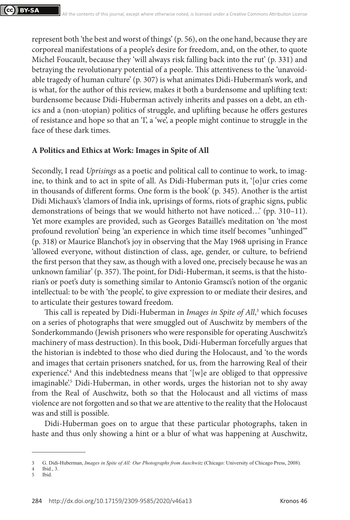represent both 'the best and worst of things' (p. 56), on the one hand, because they are corporeal manifestations of a people's desire for freedom, and, on the other, to quote Michel Foucault, because they 'will always risk falling back into the rut' (p. 331) and betraying the revolutionary potential of a people. This attentiveness to the 'unavoidable tragedy of human culture' (p. 307) is what animates Didi-Huberman's work, and is what, for the author of this review, makes it both a burdensome and uplifting text: burdensome because Didi-Huberman actively inherits and passes on a debt, an ethics and a (non-utopian) politics of struggle, and uplifting because he offers gestures of resistance and hope so that an 'I', a 'we', a people might continue to struggle in the face of these dark times.

### **A Politics and Ethics at Work: Images in Spite of All**

Secondly, I read *Uprisings* as a poetic and political call to continue to work, to imagine, to think and to act in spite of all. As Didi-Huberman puts it, '[o]ur cries come in thousands of different forms. One form is the book' (p. 345). Another is the artist Didi Michaux's 'clamors of India ink, uprisings of forms, riots of graphic signs, public demonstrations of beings that we would hitherto not have noticed…' (pp. 310–11). Yet more examples are provided, such as Georges Bataille's meditation on 'the most profound revolution' being 'an experience in which time itself becomes "unhinged"' (p. 318) or Maurice Blanchot's joy in observing that the May 1968 uprising in France 'allowed everyone, without distinction of class, age, gender, or culture, to befriend the first person that they saw, as though with a loved one, precisely because he was an unknown familiar' (p. 357). The point, for Didi-Huberman, it seems, is that the historian's or poet's duty is something similar to Antonio Gramsci's notion of the organic intellectual: to be with 'the people', to give expression to or mediate their desires, and to articulate their gestures toward freedom.

This call is repeated by Didi-Huberman in *Images in Spite of All*, 3 which focuses on a series of photographs that were smuggled out of Auschwitz by members of the Sonderkommando (Jewish prisoners who were responsible for operating Auschwitz's machinery of mass destruction). In this book, Didi-Huberman forcefully argues that the historian is indebted to those who died during the Holocaust, and 'to the words and images that certain prisoners snatched, for us, from the harrowing Real of their experience?<sup>4</sup> And this indebtedness means that '[w]e are obliged to that oppressive imaginable'.<sup>5</sup> Didi-Huberman, in other words, urges the historian not to shy away from the Real of Auschwitz, both so that the Holocaust and all victims of mass violence are not forgotten and so that we are attentive to the reality that the Holocaust was and still is possible.

Didi-Huberman goes on to argue that these particular photographs, taken in haste and thus only showing a hint or a blur of what was happening at Auschwitz,

<sup>3</sup> G. Didi-Huberman, *Images in Spite of All: Our Photographs from Auschwitz* (Chicago: University of Chicago Press, 2008).

<sup>4</sup> Ibid., 3.

Ibid.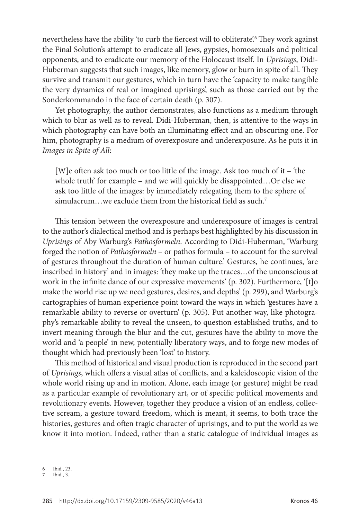nevertheless have the ability 'to curb the fiercest will to obliterate'.6 They work against the Final Solution's attempt to eradicate all Jews, gypsies, homosexuals and political opponents, and to eradicate our memory of the Holocaust itself. In *Uprisings*, Didi-Huberman suggests that such images, like memory, glow or burn in spite of all. They survive and transmit our gestures, which in turn have the 'capacity to make tangible the very dynamics of real or imagined uprisings', such as those carried out by the Sonderkommando in the face of certain death (p. 307).

Yet photography, the author demonstrates, also functions as a medium through which to blur as well as to reveal. Didi-Huberman, then, is attentive to the ways in which photography can have both an illuminating effect and an obscuring one. For him, photography is a medium of overexposure and underexposure. As he puts it in *Images in Spite of All*:

[W]e often ask too much or too little of the image. Ask too much of it – 'the whole truth' for example – and we will quickly be disappointed…Or else we ask too little of the images: by immediately relegating them to the sphere of simulacrum...we exclude them from the historical field as such.<sup>7</sup>

This tension between the overexposure and underexposure of images is central to the author's dialectical method and is perhaps best highlighted by his discussion in *Uprisings* of Aby Warburg's *Pathosformeln*. According to Didi-Huberman, 'Warburg forged the notion of *Pathosformeln* – or pathos formula – to account for the survival of gestures throughout the duration of human culture.' Gestures, he continues, 'are inscribed in history' and in images: 'they make up the traces…of the unconscious at work in the infinite dance of our expressive movements' (p. 302). Furthermore, '[t]o make the world rise up we need gestures, desires, and depths' (p. 299), and Warburg's cartographies of human experience point toward the ways in which 'gestures have a remarkable ability to reverse or overturn' (p. 305). Put another way, like photography's remarkable ability to reveal the unseen, to question established truths, and to invert meaning through the blur and the cut, gestures have the ability to move the world and 'a people' in new, potentially liberatory ways, and to forge new modes of thought which had previously been 'lost' to history.

This method of historical and visual production is reproduced in the second part of *Uprisings*, which offers a visual atlas of conflicts, and a kaleidoscopic vision of the whole world rising up and in motion. Alone, each image (or gesture) might be read as a particular example of revolutionary art, or of specific political movements and revolutionary events. However, together they produce a vision of an endless, collective scream, a gesture toward freedom, which is meant, it seems, to both trace the histories, gestures and often tragic character of uprisings, and to put the world as we know it into motion. Indeed, rather than a static catalogue of individual images as

<sup>6</sup> Ibid., 23.

<sup>7</sup> Ibid., 3.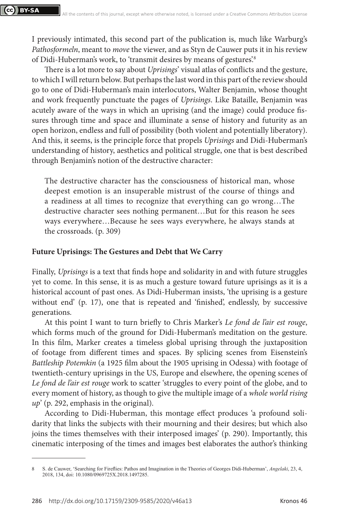I previously intimated, this second part of the publication is, much like Warburg's *Pathosformeln*, meant to *move* the viewer, and as Styn de Cauwer puts it in his review of Didi-Huberman's work, to 'transmit desires by means of gestures'.<sup>8</sup>

There is a lot more to say about *Uprisings*' visual atlas of conflicts and the gesture, to which I will return below. But perhaps the last word in this part of the review should go to one of Didi-Huberman's main interlocutors, Walter Benjamin, whose thought and work frequently punctuate the pages of *Uprisings*. Like Bataille, Benjamin was acutely aware of the ways in which an uprising (and the image) could produce fissures through time and space and illuminate a sense of history and futurity as an open horizon, endless and full of possibility (both violent and potentially liberatory). And this, it seems, is the principle force that propels *Uprisings* and Didi-Huberman's understanding of history, aesthetics and political struggle, one that is best described through Benjamin's notion of the destructive character:

The destructive character has the consciousness of historical man, whose deepest emotion is an insuperable mistrust of the course of things and a readiness at all times to recognize that everything can go wrong…The destructive character sees nothing permanent…But for this reason he sees ways everywhere…Because he sees ways everywhere, he always stands at the crossroads. (p. 309)

### **Future Uprisings: The Gestures and Debt that We Carry**

Finally, *Uprisings* is a text that finds hope and solidarity in and with future struggles yet to come. In this sense, it is as much a gesture toward future uprisings as it is a historical account of past ones. As Didi-Huberman insists, 'the uprising is a gesture without end' (p. 17), one that is repeated and 'finished', endlessly, by successive generations.

At this point I want to turn briefly to Chris Marker's *Le fond de l'air est rouge*, which forms much of the ground for Didi-Huberman's meditation on the gesture. In this film, Marker creates a timeless global uprising through the juxtaposition of footage from different times and spaces. By splicing scenes from Eisenstein's *Battleship Potemkin* (a 1925 film about the 1905 uprising in Odessa) with footage of twentieth-century uprisings in the US, Europe and elsewhere, the opening scenes of *Le fond de l'air est rouge* work to scatter 'struggles to every point of the globe, and to every moment of history, as though to give the multiple image of a *whole world rising up*' (p. 292, emphasis in the original).

According to Didi-Huberman, this montage effect produces 'a profound solidarity that links the subjects with their mourning and their desires; but which also joins the times themselves with their interposed images' (p. 290). Importantly, this cinematic interposing of the times and images best elaborates the author's thinking

<sup>8</sup> S. de Cauwer, 'Searching for Fireflies: Pathos and Imagination in the Theories of Georges Didi-Huberman', *Angelaki*, 23, 4, 2018, 134, doi: 10.1080/0969725X.2018.1497285.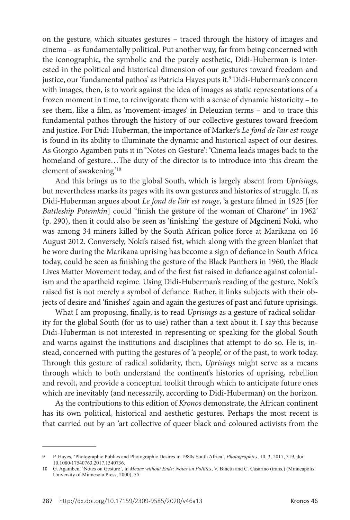on the gesture, which situates gestures – traced through the history of images and cinema – as fundamentally political. Put another way, far from being concerned with the iconographic, the symbolic and the purely aesthetic, Didi-Huberman is interested in the political and historical dimension of our gestures toward freedom and justice, our 'fundamental pathos' as Patricia Hayes puts it.9 Didi-Huberman's concern with images, then, is to work against the idea of images as static representations of a frozen moment in time, to reinvigorate them with a sense of dynamic historicity – to see them, like a film, as 'movement-images' in Deleuzian terms – and to trace this fundamental pathos through the history of our collective gestures toward freedom and justice. For Didi-Huberman, the importance of Marker's *Le fond de l'air est rouge*  is found in its ability to illuminate the dynamic and historical aspect of our desires. As Giorgio Agamben puts it in 'Notes on Gesture': 'Cinema leads images back to the homeland of gesture…The duty of the director is to introduce into this dream the element of awakening.'10

And this brings us to the global South, which is largely absent from *Uprisings*, but nevertheless marks its pages with its own gestures and histories of struggle. If, as Didi-Huberman argues about *Le fond de l'air est rouge*, 'a gesture filmed in 1925 [for *Battleship Potemkin*] could "finish the gesture of the woman of Charone" in 1962' (p. 290), then it could also be seen as 'finishing' the gesture of Mgcineni Noki, who was among 34 miners killed by the South African police force at Marikana on 16 August 2012. Conversely, Noki's raised fist, which along with the green blanket that he wore during the Marikana uprising has become a sign of defiance in South Africa today, could be seen as finishing the gesture of the Black Panthers in 1960, the Black Lives Matter Movement today, and of the first fist raised in defiance against colonialism and the apartheid regime. Using Didi-Huberman's reading of the gesture, Noki's raised fist is not merely a symbol of defiance. Rather, it links subjects with their objects of desire and 'finishes' again and again the gestures of past and future uprisings.

What I am proposing, finally, is to read *Uprisings* as a gesture of radical solidarity for the global South (for us to use) rather than a text about it. I say this because Didi-Huberman is not interested in representing or speaking for the global South and warns against the institutions and disciplines that attempt to do so. He is, instead, concerned with putting the gestures of 'a people', or of the past, to work today. Through this gesture of radical solidarity, then, *Uprisings* might serve as a means through which to both understand the continent's histories of uprising, rebellion and revolt, and provide a conceptual toolkit through which to anticipate future ones which are inevitably (and necessarily, according to Didi-Huberman) on the horizon.

As the contributions to this edition of *Kronos* demonstrate, the African continent has its own political, historical and aesthetic gestures. Perhaps the most recent is that carried out by an 'art collective of queer black and coloured activists from the

<sup>9</sup> P. Hayes, 'Photographic Publics and Photographic Desires in 1980s South Africa', *Photographies*, 10, 3, 2017, 319, doi: 10.1080/17540763.2017.1340736.

<sup>10</sup> G. Agamben, 'Notes on Gesture', in *Means without Ends: Notes on Politics*, V. Binetti and C. Casarino (trans.) (Minneapolis: University of Minnesota Press, 2000), 55.